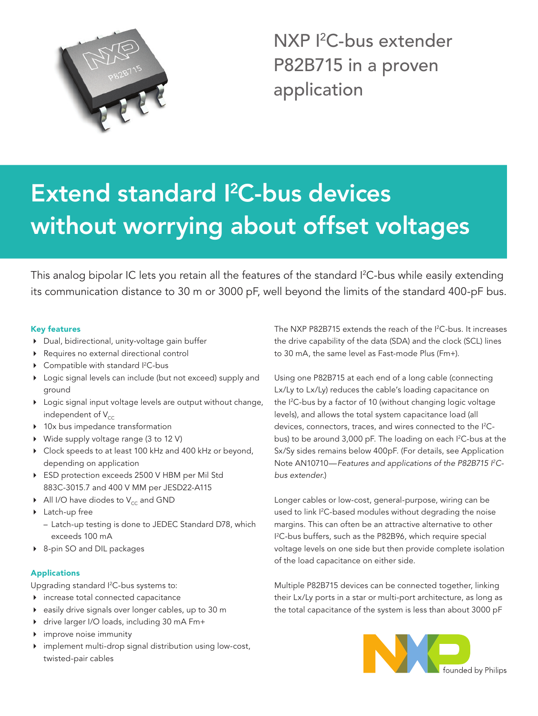

NXP <sup>2</sup>C-bus extender P82B715 in a proven application

# Extend standard I<sup>2</sup>C-bus devices without worrying about offset voltages

This analog bipolar IC lets you retain all the features of the standard I<sup>2</sup>C-bus while easily extending its communication distance to 30 m or 3000 pF, well beyond the limits of the standard 400-pF bus.

## Key features

- 4 Dual, bidirectional, unity-voltage gain buffer
- 4 Requires no external directional control
- $\triangleright$  Compatible with standard  $l^2C$ -bus
- ▶ Logic signal levels can include (but not exceed) supply and ground
- 4 Logic signal input voltage levels are output without change, independent of  $V_{cc}$
- ▶ 10x bus impedance transformation
- ▶ Wide supply voltage range (3 to 12 V)
- ▶ Clock speeds to at least 100 kHz and 400 kHz or beyond, depending on application
- ▶ ESD protection exceeds 2500 V HBM per Mil Std 883C-3015.7 and 400 V MM per JESD22-A115
- $\blacktriangleright$  All I/O have diodes to V<sub>cc</sub> and GND
- ▶ Latch-up free
	- Latch-up testing is done to JEDEC Standard D78, which exceeds 100 mA
- ▶ 8-pin SO and DIL packages

# Applications

Upgrading standard <sup>2</sup>C-bus systems to:

- 4 increase total connected capacitance
- 4 easily drive signals over longer cables, up to 30 m
- ◆ drive larger I/O loads, including 30 mA Fm+
- 4 improve noise immunity
- implement multi-drop signal distribution using low-cost, twisted-pair cables

The NXP P82B715 extends the reach of the I<sup>2</sup>C-bus. It increases the drive capability of the data (SDA) and the clock (SCL) lines to 30 mA, the same level as Fast-mode Plus (Fm+).

Using one P82B715 at each end of a long cable (connecting Lx/Ly to Lx/Ly) reduces the cable's loading capacitance on the I2 C-bus by a factor of 10 (without changing logic voltage levels), and allows the total system capacitance load (all devices, connectors, traces, and wires connected to the I<sup>2</sup>Cbus) to be around 3,000 pF. The loading on each I<sup>2</sup>C-bus at the Sx/Sy sides remains below 400pF. (For details, see Application Note AN10710—*Features and applications of the P82B715 I2 Cbus extender.*)

Longer cables or low-cost, general-purpose, wiring can be used to link I2 C-based modules without degrading the noise margins. This can often be an attractive alternative to other I 2 C-bus buffers, such as the P82B96, which require special voltage levels on one side but then provide complete isolation of the load capacitance on either side.

Multiple P82B715 devices can be connected together, linking their Lx/Ly ports in a star or multi-port architecture, as long as the total capacitance of the system is less than about 3000 pF

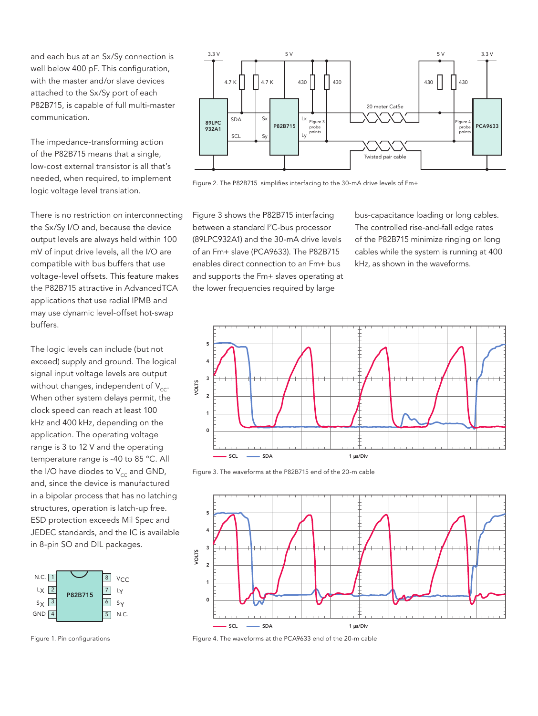and each bus at an Sx/Sy connection is well below 400 pF. This configuration, with the master and/or slave devices attached to the Sx/Sy port of each P82B715, is capable of full multi-master communication.

The impedance-transforming action of the P82B715 means that a single, low-cost external transistor is all that's needed, when required, to implement logic voltage level translation.

There is no restriction on interconnecting the Sx/Sy I/O and, because the device output levels are always held within 100 mV of input drive levels, all the I/O are compatible with bus buffers that use voltage-level offsets. This feature makes the P82B715 attractive in AdvancedTCA applications that use radial IPMB and may use dynamic level-offset hot-swap buffers.

The logic levels can include (but not exceed) supply and ground. The logical signal input voltage levels are output without changes, independent of  $V_{cc}$ . When other system delays permit, the clock speed can reach at least 100 kHz and 400 kHz, depending on the application. The operating voltage range is 3 to 12 V and the operating temperature range is -40 to 85 °C. All the I/O have diodes to  $V_{cc}$  and GND, and, since the device is manufactured in a bipolar process that has no latching structures, operation is latch-up free. ESD protection exceeds Mil Spec and JEDEC standards, and the IC is available in 8-pin SO and DIL packages.



Figure 1. Pin configurations



Figure 2. The P82B715 simplifies interfacing to the 30-mA drive levels of Fm+

Figure 3 shows the P82B715 interfacing between a standard <sup>2</sup>C-bus processor (89LPC932A1) and the 30-mA drive levels of an Fm+ slave (PCA9633). The P82B715 enables direct connection to an Fm+ bus and supports the Fm+ slaves operating at the lower frequencies required by large

bus-capacitance loading or long cables. The controlled rise-and-fall edge rates of the P82B715 minimize ringing on long cables while the system is running at 400 kHz, as shown in the waveforms.



Figure 3. The waveforms at the P82B715 end of the 20-m cable



Figure 4. The waveforms at the PCA9633 end of the 20-m cable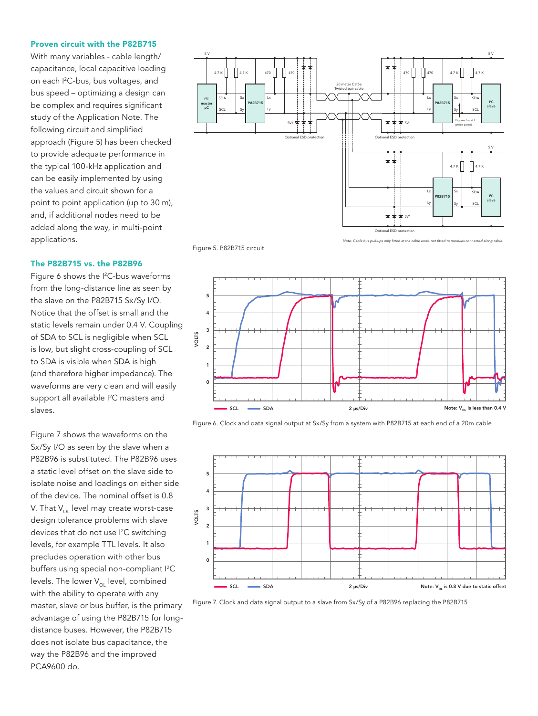#### Proven circuit with the P82B715

With many variables - cable length/ capacitance, local capacitive loading on each I2 C-bus, bus voltages, and bus speed – optimizing a design can be complex and requires significant study of the Application Note. The following circuit and simplified approach (Figure 5) has been checked to provide adequate performance in the typical 100-kHz application and can be easily implemented by using the values and circuit shown for a point to point application (up to 30 m), and, if additional nodes need to be added along the way, in multi-point applications.

#### The P82B715 vs. the P82B96

Figure 6 shows the <sup>2</sup>C-bus waveforms from the long-distance line as seen by the slave on the P82B715 Sx/Sy I/O. Notice that the offset is small and the static levels remain under 0.4 V. Coupling of SDA to SCL is negligible when SCL is low, but slight cross-coupling of SCL to SDA is visible when SDA is high (and therefore higher impedance). The waveforms are very clean and will easily support all available I<sup>2</sup>C masters and slaves.

Figure 5. P82B715 circuit

Figure 7 shows the waveforms on the Sx/Sy I/O as seen by the slave when a P82B96 is substituted. The P82B96 uses a static level offset on the slave side to isolate noise and loadings on either side of the device. The nominal offset is 0.8 V. That  $V_{\text{out}}$  level may create worst-case design tolerance problems with slave devices that do not use <sup>[2</sup>C switching levels, for example TTL levels. It also precludes operation with other bus buffers using special non-compliant I2 C levels. The lower  $V_{\text{ou}}$  level, combined with the ability to operate with any master, slave or bus buffer, is the primary advantage of using the P82B715 for longdistance buses. However, the P82B715 does not isolate bus capacitance, the way the P82B96 and the improved PCA9600 do.



*Note: Cable bus pull-ups only fitted at the cable* 



Figure 6. Clock and data signal output at Sx/Sy from a system with P82B715 at each end of a 20m cable



Figure 7. Clock and data signal output to a slave from Sx/Sy of a P82B96 replacing the P82B715